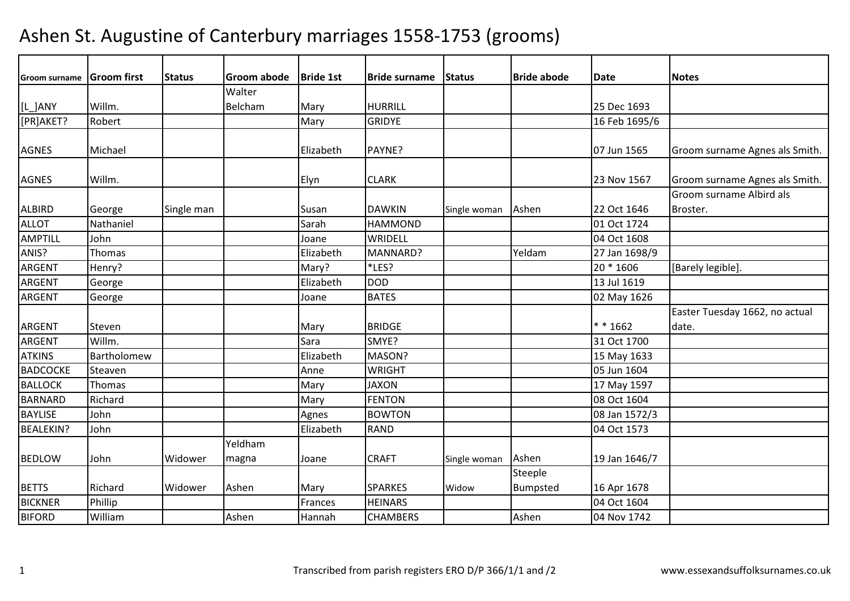| <b>Groom surname</b> | Groom first | <b>Status</b> | <b>Groom abode</b> | <b>Bride 1st</b> | <b>IBride surname</b> | <b>Status</b> | <b>Bride abode</b> | <b>Date</b>   | <b>Notes</b>                   |
|----------------------|-------------|---------------|--------------------|------------------|-----------------------|---------------|--------------------|---------------|--------------------------------|
|                      |             |               | Walter             |                  |                       |               |                    |               |                                |
| [L_]ANY              | Willm.      |               | Belcham            | Mary             | <b>HURRILL</b>        |               |                    | 25 Dec 1693   |                                |
| [PR]AKET?            | Robert      |               |                    | Mary             | <b>GRIDYE</b>         |               |                    | 16 Feb 1695/6 |                                |
|                      |             |               |                    |                  |                       |               |                    |               |                                |
| <b>AGNES</b>         | Michael     |               |                    | Elizabeth        | PAYNE?                |               |                    | 07 Jun 1565   | Groom surname Agnes als Smith. |
|                      |             |               |                    |                  |                       |               |                    |               |                                |
| <b>AGNES</b>         | Willm.      |               |                    | Elyn             | <b>CLARK</b>          |               |                    | 23 Nov 1567   | Groom surname Agnes als Smith. |
|                      |             |               |                    |                  |                       |               |                    |               | Groom surname Albird als       |
| <b>ALBIRD</b>        | George      | Single man    |                    | Susan            | <b>DAWKIN</b>         | Single woman  | Ashen              | 22 Oct 1646   | Broster.                       |
| <b>ALLOT</b>         | Nathaniel   |               |                    | Sarah            | <b>HAMMOND</b>        |               |                    | 01 Oct 1724   |                                |
| AMPTILL              | John        |               |                    | Joane            | WRIDELL               |               |                    | 04 Oct 1608   |                                |
| ANIS?                | Thomas      |               |                    | Elizabeth        | MANNARD?              |               | Yeldam             | 27 Jan 1698/9 |                                |
| <b>ARGENT</b>        | Henry?      |               |                    | Mary?            | *LES?                 |               |                    | 20 * 1606     | [Barely legible].              |
| ARGENT               | George      |               |                    | Elizabeth        | <b>DOD</b>            |               |                    | 13 Jul 1619   |                                |
| <b>ARGENT</b>        | George      |               |                    | Joane            | <b>BATES</b>          |               |                    | 02 May 1626   |                                |
|                      |             |               |                    |                  |                       |               |                    |               | Easter Tuesday 1662, no actual |
| ARGENT               | Steven      |               |                    | Mary             | <b>BRIDGE</b>         |               |                    | $* * 1662$    | date.                          |
| ARGENT               | Willm.      |               |                    | Sara             | SMYE?                 |               |                    | 31 Oct 1700   |                                |
| <b>ATKINS</b>        | Bartholomew |               |                    | Elizabeth        | MASON?                |               |                    | 15 May 1633   |                                |
| <b>BADCOCKE</b>      | Steaven     |               |                    | Anne             | <b>WRIGHT</b>         |               |                    | 05 Jun 1604   |                                |
| <b>BALLOCK</b>       | Thomas      |               |                    | Mary             | <b>JAXON</b>          |               |                    | 17 May 1597   |                                |
| <b>BARNARD</b>       | Richard     |               |                    | Mary             | <b>FENTON</b>         |               |                    | 08 Oct 1604   |                                |
| <b>BAYLISE</b>       | John        |               |                    | Agnes            | <b>BOWTON</b>         |               |                    | 08 Jan 1572/3 |                                |
| <b>BEALEKIN?</b>     | John        |               |                    | Elizabeth        | <b>RAND</b>           |               |                    | 04 Oct 1573   |                                |
|                      |             |               | Yeldham            |                  |                       |               |                    |               |                                |
| <b>BEDLOW</b>        | John        | Widower       | magna              | Joane            | <b>CRAFT</b>          | Single woman  | Ashen              | 19 Jan 1646/7 |                                |
|                      |             |               |                    |                  |                       |               | Steeple            |               |                                |
| <b>BETTS</b>         | Richard     | Widower       | Ashen              | Mary             | <b>SPARKES</b>        | Widow         | Bumpsted           | 16 Apr 1678   |                                |
| <b>BICKNER</b>       | Phillip     |               |                    | Frances          | <b>HEINARS</b>        |               |                    | 04 Oct 1604   |                                |
| <b>BIFORD</b>        | William     |               | Ashen              | Hannah           | <b>CHAMBERS</b>       |               | Ashen              | 04 Nov 1742   |                                |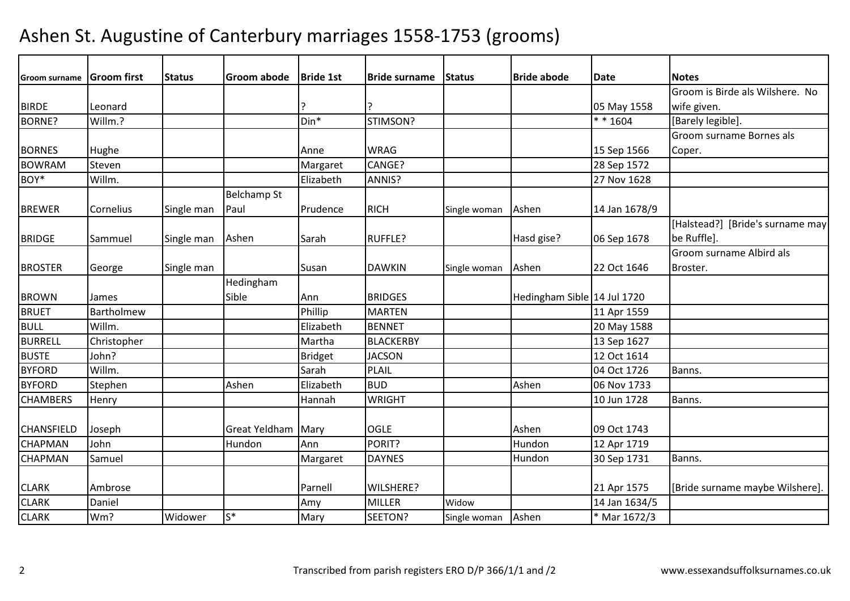| <b>Groom surname</b> | <b>Groom</b> first | <b>Status</b> | Groom abode        | <b>Bride 1st</b> | <b>Bride surname</b> | <b>Status</b> | <b>Bride abode</b>          | <b>Date</b>   | <b>Notes</b>                     |
|----------------------|--------------------|---------------|--------------------|------------------|----------------------|---------------|-----------------------------|---------------|----------------------------------|
|                      |                    |               |                    |                  |                      |               |                             |               | Groom is Birde als Wilshere. No  |
| <b>BIRDE</b>         | Leonard            |               |                    |                  |                      |               |                             | 05 May 1558   | wife given.                      |
| BORNE?               | Willm.?            |               |                    | Din*             | STIMSON?             |               |                             | $* * 1604$    | [Barely legible].                |
|                      |                    |               |                    |                  |                      |               |                             |               | Groom surname Bornes als         |
| <b>BORNES</b>        | Hughe              |               |                    | Anne             | <b>WRAG</b>          |               |                             | 15 Sep 1566   | Coper.                           |
| <b>BOWRAM</b>        | Steven             |               |                    | Margaret         | CANGE?               |               |                             | 28 Sep 1572   |                                  |
| BOY*                 | Willm.             |               |                    | Elizabeth        | ANNIS?               |               |                             | 27 Nov 1628   |                                  |
|                      |                    |               | <b>Belchamp St</b> |                  |                      |               |                             |               |                                  |
| <b>BREWER</b>        | Cornelius          | Single man    | Paul               | Prudence         | <b>RICH</b>          | Single woman  | Ashen                       | 14 Jan 1678/9 |                                  |
|                      |                    |               |                    |                  |                      |               |                             |               | [Halstead?] [Bride's surname may |
| <b>BRIDGE</b>        | Sammuel            | Single man    | Ashen              | Sarah            | <b>RUFFLE?</b>       |               | Hasd gise?                  | 06 Sep 1678   | be Ruffle].                      |
|                      |                    |               |                    |                  |                      |               |                             |               | Groom surname Albird als         |
| <b>BROSTER</b>       | George             | Single man    |                    | Susan            | <b>DAWKIN</b>        | Single woman  | Ashen                       | 22 Oct 1646   | Broster.                         |
|                      |                    |               | Hedingham          |                  |                      |               |                             |               |                                  |
| <b>BROWN</b>         | James              |               | Sible              | Ann              | <b>BRIDGES</b>       |               | Hedingham Sible 14 Jul 1720 |               |                                  |
| <b>BRUET</b>         | Bartholmew         |               |                    | Phillip          | <b>MARTEN</b>        |               |                             | 11 Apr 1559   |                                  |
| <b>BULL</b>          | Willm.             |               |                    | Elizabeth        | <b>BENNET</b>        |               |                             | 20 May 1588   |                                  |
| <b>BURRELL</b>       | Christopher        |               |                    | Martha           | <b>BLACKERBY</b>     |               |                             | 13 Sep 1627   |                                  |
| <b>BUSTE</b>         | John?              |               |                    | <b>Bridget</b>   | <b>JACSON</b>        |               |                             | 12 Oct 1614   |                                  |
| <b>BYFORD</b>        | Willm.             |               |                    | Sarah            | <b>PLAIL</b>         |               |                             | 04 Oct 1726   | Banns.                           |
| <b>BYFORD</b>        | Stephen            |               | Ashen              | Elizabeth        | <b>BUD</b>           |               | Ashen                       | 06 Nov 1733   |                                  |
| <b>CHAMBERS</b>      | Henry              |               |                    | Hannah           | <b>WRIGHT</b>        |               |                             | 10 Jun 1728   | Banns.                           |
|                      |                    |               |                    |                  |                      |               |                             |               |                                  |
| <b>CHANSFIELD</b>    | Joseph             |               | Great Yeldham      | Mary             | <b>OGLE</b>          |               | Ashen                       | 09 Oct 1743   |                                  |
| <b>CHAPMAN</b>       | John               |               | Hundon             | Ann              | PORIT?               |               | Hundon                      | 12 Apr 1719   |                                  |
| CHAPMAN              | Samuel             |               |                    | Margaret         | <b>DAYNES</b>        |               | Hundon                      | 30 Sep 1731   | Banns.                           |
|                      |                    |               |                    |                  |                      |               |                             |               |                                  |
| <b>CLARK</b>         | Ambrose            |               |                    | Parnell          | WILSHERE?            |               |                             | 21 Apr 1575   | [Bride surname maybe Wilshere].  |
| <b>CLARK</b>         | Daniel             |               |                    | Amy              | <b>MILLER</b>        | Widow         |                             | 14 Jan 1634/5 |                                  |
| <b>CLARK</b>         | Wm?                | Widower       | $S^*$              | Mary             | SEETON?              | Single woman  | Ashen                       | * Mar 1672/3  |                                  |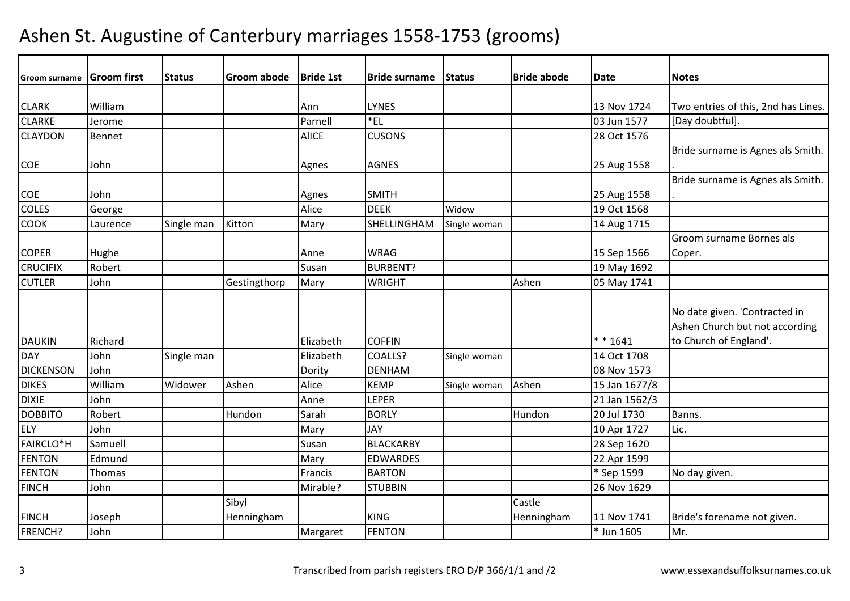| <b>Groom surname</b> | <b>Groom first</b> | <b>Status</b> | <b>Groom abode</b> | <b>Bride 1st</b> | <b>Bride surname</b> | Status       | <b>Bride abode</b> | Date          | <b>Notes</b>                                                                              |
|----------------------|--------------------|---------------|--------------------|------------------|----------------------|--------------|--------------------|---------------|-------------------------------------------------------------------------------------------|
|                      |                    |               |                    |                  |                      |              |                    |               |                                                                                           |
| <b>CLARK</b>         | William            |               |                    | Ann              | <b>LYNES</b>         |              |                    | 13 Nov 1724   | Two entries of this, 2nd has Lines.                                                       |
| <b>CLARKE</b>        | Jerome             |               |                    | Parnell          | *EL                  |              |                    | 03 Jun 1577   | [Day doubtful].                                                                           |
| <b>CLAYDON</b>       | Bennet             |               |                    | <b>AlICE</b>     | <b>CUSONS</b>        |              |                    | 28 Oct 1576   |                                                                                           |
|                      |                    |               |                    |                  |                      |              |                    |               | Bride surname is Agnes als Smith.                                                         |
| <b>COE</b>           | John               |               |                    | Agnes            | <b>AGNES</b>         |              |                    | 25 Aug 1558   |                                                                                           |
|                      |                    |               |                    |                  |                      |              |                    |               | Bride surname is Agnes als Smith.                                                         |
| <b>COE</b>           | John               |               |                    | Agnes            | <b>SMITH</b>         |              |                    | 25 Aug 1558   |                                                                                           |
| <b>COLES</b>         | George             |               |                    | Alice            | <b>DEEK</b>          | Widow        |                    | 19 Oct 1568   |                                                                                           |
| <b>COOK</b>          | Laurence           | Single man    | Kitton             | Mary             | SHELLINGHAM          | Single woman |                    | 14 Aug 1715   |                                                                                           |
|                      |                    |               |                    |                  |                      |              |                    |               | Groom surname Bornes als                                                                  |
| <b>COPER</b>         | Hughe              |               |                    | Anne             | <b>WRAG</b>          |              |                    | 15 Sep 1566   | Coper.                                                                                    |
| <b>CRUCIFIX</b>      | Robert             |               |                    | Susan            | <b>BURBENT?</b>      |              |                    | 19 May 1692   |                                                                                           |
| <b>CUTLER</b>        | John               |               | Gestingthorp       | Mary             | <b>WRIGHT</b>        |              | Ashen              | 05 May 1741   |                                                                                           |
| <b>DAUKIN</b>        | Richard            |               |                    | Elizabeth        | <b>COFFIN</b>        |              |                    | $* * 1641$    | No date given. 'Contracted in<br>Ashen Church but not according<br>to Church of England'. |
| <b>DAY</b>           | John               | Single man    |                    | Elizabeth        | COALLS?              | Single woman |                    | 14 Oct 1708   |                                                                                           |
| <b>DICKENSON</b>     | John               |               |                    | Dority           | <b>DENHAM</b>        |              |                    | 08 Nov 1573   |                                                                                           |
| <b>DIKES</b>         | William            | Widower       | Ashen              | Alice            | <b>KEMP</b>          | Single woman | Ashen              | 15 Jan 1677/8 |                                                                                           |
| <b>DIXIE</b>         | John               |               |                    | Anne             | <b>LEPER</b>         |              |                    | 21 Jan 1562/3 |                                                                                           |
| <b>DOBBITO</b>       | Robert             |               | Hundon             | Sarah            | <b>BORLY</b>         |              | Hundon             | 20 Jul 1730   | Banns.                                                                                    |
| <b>ELY</b>           | John               |               |                    | Mary             | <b>JAY</b>           |              |                    | 10 Apr 1727   | Lic.                                                                                      |
| <b>FAIRCLO*H</b>     | Samuell            |               |                    | Susan            | <b>BLACKARBY</b>     |              |                    | 28 Sep 1620   |                                                                                           |
| <b>FENTON</b>        | Edmund             |               |                    | Mary             | <b>EDWARDES</b>      |              |                    | 22 Apr 1599   |                                                                                           |
| <b>FENTON</b>        | Thomas             |               |                    | Francis          | <b>BARTON</b>        |              |                    | * Sep 1599    | No day given.                                                                             |
| <b>FINCH</b>         | John               |               |                    | Mirable?         | <b>STUBBIN</b>       |              |                    | 26 Nov 1629   |                                                                                           |
|                      |                    |               | Sibyl              |                  |                      |              | Castle             |               |                                                                                           |
| <b>FINCH</b>         | Joseph             |               | Henningham         |                  | <b>KING</b>          |              | Henningham         | 11 Nov 1741   | Bride's forename not given.                                                               |
| <b>FRENCH?</b>       | John               |               |                    | Margaret         | <b>FENTON</b>        |              |                    | * Jun 1605    | Mr.                                                                                       |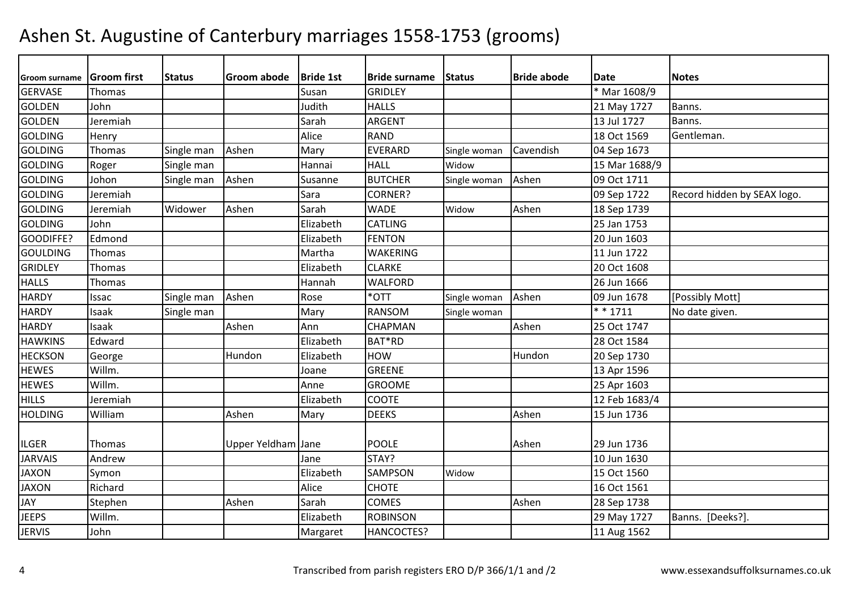| Groom surname   | <b>Groom</b> first | <b>Status</b> | <b>Groom abode</b> | <b>Bride 1st</b> | <b>Bride surname</b> | Status       | <b>Bride abode</b> | <b>Date</b>   | <b>Notes</b>                |
|-----------------|--------------------|---------------|--------------------|------------------|----------------------|--------------|--------------------|---------------|-----------------------------|
| <b>GERVASE</b>  | Thomas             |               |                    | Susan            | <b>GRIDLEY</b>       |              |                    | * Mar 1608/9  |                             |
| <b>GOLDEN</b>   | John               |               |                    | Judith           | <b>HALLS</b>         |              |                    | 21 May 1727   | Banns.                      |
| <b>GOLDEN</b>   | Jeremiah           |               |                    | Sarah            | ARGENT               |              |                    | 13 Jul 1727   | Banns.                      |
| <b>GOLDING</b>  | Henry              |               |                    | Alice            | <b>RAND</b>          |              |                    | 18 Oct 1569   | Gentleman.                  |
| <b>GOLDING</b>  | Thomas             | Single man    | Ashen              | Mary             | <b>EVERARD</b>       | Single woman | Cavendish          | 04 Sep 1673   |                             |
| <b>GOLDING</b>  | Roger              | Single man    |                    | Hannai           | <b>HALL</b>          | Widow        |                    | 15 Mar 1688/9 |                             |
| <b>GOLDING</b>  | Johon              | Single man    | Ashen              | Susanne          | <b>BUTCHER</b>       | Single woman | Ashen              | 09 Oct 1711   |                             |
| <b>GOLDING</b>  | Jeremiah           |               |                    | Sara             | <b>CORNER?</b>       |              |                    | 09 Sep 1722   | Record hidden by SEAX logo. |
| <b>GOLDING</b>  | Jeremiah           | Widower       | Ashen              | Sarah            | <b>WADE</b>          | Widow        | Ashen              | 18 Sep 1739   |                             |
| <b>GOLDING</b>  | John               |               |                    | Elizabeth        | <b>CATLING</b>       |              |                    | 25 Jan 1753   |                             |
| GOODIFFE?       | Edmond             |               |                    | Elizabeth        | <b>FENTON</b>        |              |                    | 20 Jun 1603   |                             |
| <b>GOULDING</b> | Thomas             |               |                    | Martha           | <b>WAKERING</b>      |              |                    | 11 Jun 1722   |                             |
| <b>GRIDLEY</b>  | Thomas             |               |                    | Elizabeth        | <b>CLARKE</b>        |              |                    | 20 Oct 1608   |                             |
| <b>HALLS</b>    | Thomas             |               |                    | Hannah           | <b>WALFORD</b>       |              |                    | 26 Jun 1666   |                             |
| <b>HARDY</b>    | Issac              | Single man    | Ashen              | Rose             | *OTT                 | Single woman | Ashen              | 09 Jun 1678   | [Possibly Mott]             |
| <b>HARDY</b>    | Isaak              | Single man    |                    | Mary             | <b>RANSOM</b>        | Single woman |                    | $* * 1711$    | No date given.              |
| <b>HARDY</b>    | Isaak              |               | Ashen              | Ann              | <b>CHAPMAN</b>       |              | Ashen              | 25 Oct 1747   |                             |
| <b>HAWKINS</b>  | Edward             |               |                    | Elizabeth        | BAT*RD               |              |                    | 28 Oct 1584   |                             |
| <b>HECKSON</b>  | George             |               | Hundon             | Elizabeth        | <b>HOW</b>           |              | Hundon             | 20 Sep 1730   |                             |
| <b>HEWES</b>    | Willm.             |               |                    | Joane            | <b>GREENE</b>        |              |                    | 13 Apr 1596   |                             |
| <b>HEWES</b>    | Willm.             |               |                    | Anne             | <b>GROOME</b>        |              |                    | 25 Apr 1603   |                             |
| <b>HILLS</b>    | Jeremiah           |               |                    | Elizabeth        | <b>COOTE</b>         |              |                    | 12 Feb 1683/4 |                             |
| <b>HOLDING</b>  | William            |               | Ashen              | Mary             | <b>DEEKS</b>         |              | Ashen              | 15 Jun 1736   |                             |
|                 |                    |               |                    |                  |                      |              |                    |               |                             |
| <b>ILGER</b>    | Thomas             |               | Upper Yeldham Jane |                  | <b>POOLE</b>         |              | Ashen              | 29 Jun 1736   |                             |
| <b>JARVAIS</b>  | Andrew             |               |                    | Jane             | STAY?                |              |                    | 10 Jun 1630   |                             |
| <b>JAXON</b>    | Symon              |               |                    | Elizabeth        | <b>SAMPSON</b>       | Widow        |                    | 15 Oct 1560   |                             |
| <b>JAXON</b>    | Richard            |               |                    | Alice            | <b>CHOTE</b>         |              |                    | 16 Oct 1561   |                             |
| <b>JAY</b>      | Stephen            |               | Ashen              | Sarah            | <b>COMES</b>         |              | Ashen              | 28 Sep 1738   |                             |
| <b>JEEPS</b>    | Willm.             |               |                    | Elizabeth        | <b>ROBINSON</b>      |              |                    | 29 May 1727   | Banns. [Deeks?]             |
| <b>JERVIS</b>   | John               |               |                    | Margaret         | HANCOCTES?           |              |                    | 11 Aug 1562   |                             |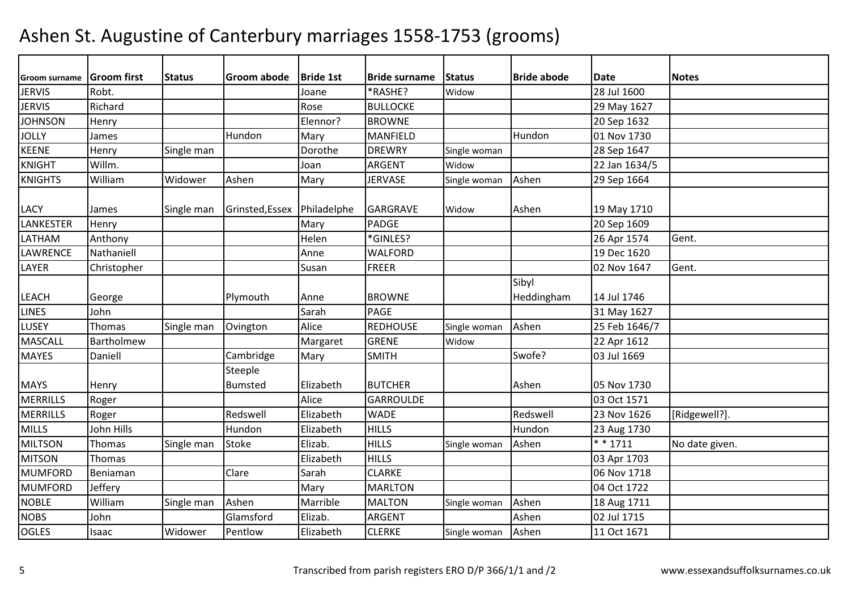| <b>Groom surname</b> | <b>Groom first</b> | <b>Status</b> | <b>Groom abode</b> | <b>Bride 1st</b> | <b>Bride surname</b> | <b>Status</b> | <b>Bride abode</b> | Date          | <b>Notes</b>   |
|----------------------|--------------------|---------------|--------------------|------------------|----------------------|---------------|--------------------|---------------|----------------|
| <b>JERVIS</b>        | Robt.              |               |                    | Joane            | *RASHE?              | Widow         |                    | 28 Jul 1600   |                |
| <b>JERVIS</b>        | Richard            |               |                    | Rose             | <b>BULLOCKE</b>      |               |                    | 29 May 1627   |                |
| <b>JOHNSON</b>       | Henry              |               |                    | Elennor?         | <b>BROWNE</b>        |               |                    | 20 Sep 1632   |                |
| <b>JOLLY</b>         | James              |               | Hundon             | Mary             | <b>MANFIELD</b>      |               | Hundon             | 01 Nov 1730   |                |
| <b>KEENE</b>         | Henry              | Single man    |                    | Dorothe          | <b>DREWRY</b>        | Single woman  |                    | 28 Sep 1647   |                |
| <b>KNIGHT</b>        | Willm.             |               |                    | Joan             | <b>ARGENT</b>        | Widow         |                    | 22 Jan 1634/5 |                |
| <b>KNIGHTS</b>       | William            | Widower       | Ashen              | Mary             | <b>JERVASE</b>       | Single woman  | Ashen              | 29 Sep 1664   |                |
|                      |                    |               |                    |                  |                      |               |                    |               |                |
| <b>LACY</b>          | James              | Single man    | Grinsted, Essex    | Philadelphe      | <b>GARGRAVE</b>      | Widow         | Ashen              | 19 May 1710   |                |
| LANKESTER            | Henry              |               |                    | Mary             | <b>PADGE</b>         |               |                    | 20 Sep 1609   |                |
| LATHAM               | Anthony            |               |                    | Helen            | *GINLES?             |               |                    | 26 Apr 1574   | Gent.          |
| <b>LAWRENCE</b>      | Nathaniell         |               |                    | Anne             | <b>WALFORD</b>       |               |                    | 19 Dec 1620   |                |
| LAYER                | Christopher        |               |                    | Susan            | <b>FREER</b>         |               |                    | 02 Nov 1647   | Gent.          |
|                      |                    |               |                    |                  |                      |               | Sibyl              |               |                |
| <b>LEACH</b>         | George             |               | Plymouth           | Anne             | <b>BROWNE</b>        |               | Heddingham         | 14 Jul 1746   |                |
| <b>LINES</b>         | John               |               |                    | Sarah            | <b>PAGE</b>          |               |                    | 31 May 1627   |                |
| LUSEY                | Thomas             | Single man    | Ovington           | Alice            | <b>REDHOUSE</b>      | Single woman  | Ashen              | 25 Feb 1646/7 |                |
| <b>MASCALL</b>       | Bartholmew         |               |                    | Margaret         | <b>GRENE</b>         | Widow         |                    | 22 Apr 1612   |                |
| <b>MAYES</b>         | Daniell            |               | Cambridge          | Mary             | <b>SMITH</b>         |               | Swofe?             | 03 Jul 1669   |                |
|                      |                    |               | Steeple            |                  |                      |               |                    |               |                |
| <b>MAYS</b>          | Henry              |               | <b>Bumsted</b>     | Elizabeth        | <b>BUTCHER</b>       |               | Ashen              | 05 Nov 1730   |                |
| <b>MERRILLS</b>      | Roger              |               |                    | Alice            | <b>GARROULDE</b>     |               |                    | 03 Oct 1571   |                |
| <b>MERRILLS</b>      | Roger              |               | Redswell           | Elizabeth        | <b>WADE</b>          |               | Redswell           | 23 Nov 1626   | [Ridgewell?].  |
| <b>MILLS</b>         | John Hills         |               | Hundon             | Elizabeth        | <b>HILLS</b>         |               | Hundon             | 23 Aug 1730   |                |
| <b>MILTSON</b>       | Thomas             | Single man    | <b>Stoke</b>       | Elizab.          | <b>HILLS</b>         | Single woman  | Ashen              | $* * 1711$    | No date given. |
| <b>MITSON</b>        | Thomas             |               |                    | Elizabeth        | <b>HILLS</b>         |               |                    | 03 Apr 1703   |                |
| <b>MUMFORD</b>       | Beniaman           |               | Clare              | Sarah            | <b>CLARKE</b>        |               |                    | 06 Nov 1718   |                |
| <b>MUMFORD</b>       | Jeffery            |               |                    | Mary             | <b>MARLTON</b>       |               |                    | 04 Oct 1722   |                |
| <b>NOBLE</b>         | William            | Single man    | Ashen              | Marrible         | <b>MALTON</b>        | Single woman  | Ashen              | 18 Aug 1711   |                |
| <b>NOBS</b>          | John               |               | Glamsford          | Elizab.          | <b>ARGENT</b>        |               | Ashen              | 02 Jul 1715   |                |
| <b>OGLES</b>         | Isaac              | Widower       | Pentlow            | Elizabeth        | <b>CLERKE</b>        | Single woman  | Ashen              | 11 Oct 1671   |                |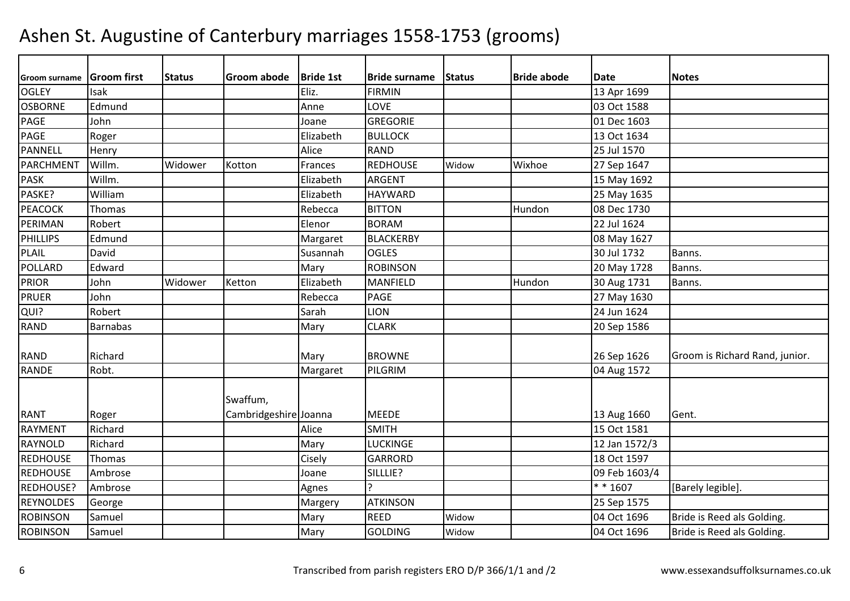| Groom surname    | <b>Groom first</b> | <b>Status</b> | <b>Groom abode</b>    | <b>Bride 1st</b> | <b>Bride surname</b> | <b>Status</b> | <b>Bride abode</b> | <b>Date</b>   | <b>Notes</b>                   |
|------------------|--------------------|---------------|-----------------------|------------------|----------------------|---------------|--------------------|---------------|--------------------------------|
| <b>OGLEY</b>     | Isak               |               |                       | Eliz.            | <b>FIRMIN</b>        |               |                    | 13 Apr 1699   |                                |
| <b>OSBORNE</b>   | Edmund             |               |                       | Anne             | LOVE                 |               |                    | 03 Oct 1588   |                                |
| PAGE             | John               |               |                       | Joane            | <b>GREGORIE</b>      |               |                    | 01 Dec 1603   |                                |
| PAGE             | Roger              |               |                       | Elizabeth        | <b>BULLOCK</b>       |               |                    | 13 Oct 1634   |                                |
| PANNELL          | Henry              |               |                       | Alice            | <b>RAND</b>          |               |                    | 25 Jul 1570   |                                |
| <b>PARCHMENT</b> | Willm.             | Widower       | Kotton                | Frances          | <b>REDHOUSE</b>      | Widow         | Wixhoe             | 27 Sep 1647   |                                |
| <b>PASK</b>      | Willm.             |               |                       | Elizabeth        | ARGENT               |               |                    | 15 May 1692   |                                |
| PASKE?           | William            |               |                       | Elizabeth        | <b>HAYWARD</b>       |               |                    | 25 May 1635   |                                |
| <b>PEACOCK</b>   | Thomas             |               |                       | Rebecca          | <b>BITTON</b>        |               | Hundon             | 08 Dec 1730   |                                |
| PERIMAN          | Robert             |               |                       | Elenor           | <b>BORAM</b>         |               |                    | 22 Jul 1624   |                                |
| <b>PHILLIPS</b>  | Edmund             |               |                       | Margaret         | <b>BLACKERBY</b>     |               |                    | 08 May 1627   |                                |
| <b>PLAIL</b>     | David              |               |                       | Susannah         | <b>OGLES</b>         |               |                    | 30 Jul 1732   | Banns.                         |
| <b>POLLARD</b>   | Edward             |               |                       | Mary             | <b>ROBINSON</b>      |               |                    | 20 May 1728   | Banns.                         |
| <b>PRIOR</b>     | John               | Widower       | Ketton                | Elizabeth        | <b>MANFIELD</b>      |               | Hundon             | 30 Aug 1731   | Banns.                         |
| <b>PRUER</b>     | John               |               |                       | Rebecca          | PAGE                 |               |                    | 27 May 1630   |                                |
| QUI?             | Robert             |               |                       | Sarah            | <b>LION</b>          |               |                    | 24 Jun 1624   |                                |
| <b>RAND</b>      | <b>Barnabas</b>    |               |                       | Mary             | <b>CLARK</b>         |               |                    | 20 Sep 1586   |                                |
|                  |                    |               |                       |                  |                      |               |                    |               |                                |
| <b>RAND</b>      | Richard            |               |                       | Mary             | <b>BROWNE</b>        |               |                    | 26 Sep 1626   | Groom is Richard Rand, junior. |
| <b>RANDE</b>     | Robt.              |               |                       | Margaret         | PILGRIM              |               |                    | 04 Aug 1572   |                                |
|                  |                    |               |                       |                  |                      |               |                    |               |                                |
|                  |                    |               | Swaffum,              |                  |                      |               |                    |               |                                |
| <b>RANT</b>      | Roger              |               | Cambridgeshire Joanna |                  | <b>MEEDE</b>         |               |                    | 13 Aug 1660   | Gent.                          |
| <b>RAYMENT</b>   | Richard            |               |                       | Alice            | <b>SMITH</b>         |               |                    | 15 Oct 1581   |                                |
| RAYNOLD          | Richard            |               |                       | Mary             | <b>LUCKINGE</b>      |               |                    | 12 Jan 1572/3 |                                |
| <b>REDHOUSE</b>  | Thomas             |               |                       | Cisely           | <b>GARRORD</b>       |               |                    | 18 Oct 1597   |                                |
| <b>REDHOUSE</b>  | Ambrose            |               |                       | Joane            | SILLLIE?             |               |                    | 09 Feb 1603/4 |                                |
| REDHOUSE?        | Ambrose            |               |                       | Agnes            | ς                    |               |                    | $* * 1607$    | [Barely legible].              |
| <b>REYNOLDES</b> | George             |               |                       | Margery          | <b>ATKINSON</b>      |               |                    | 25 Sep 1575   |                                |
| <b>ROBINSON</b>  | Samuel             |               |                       | Mary             | <b>REED</b>          | Widow         |                    | 04 Oct 1696   | Bride is Reed als Golding.     |
| <b>ROBINSON</b>  | Samuel             |               |                       | Mary             | <b>GOLDING</b>       | Widow         |                    | 04 Oct 1696   | Bride is Reed als Golding.     |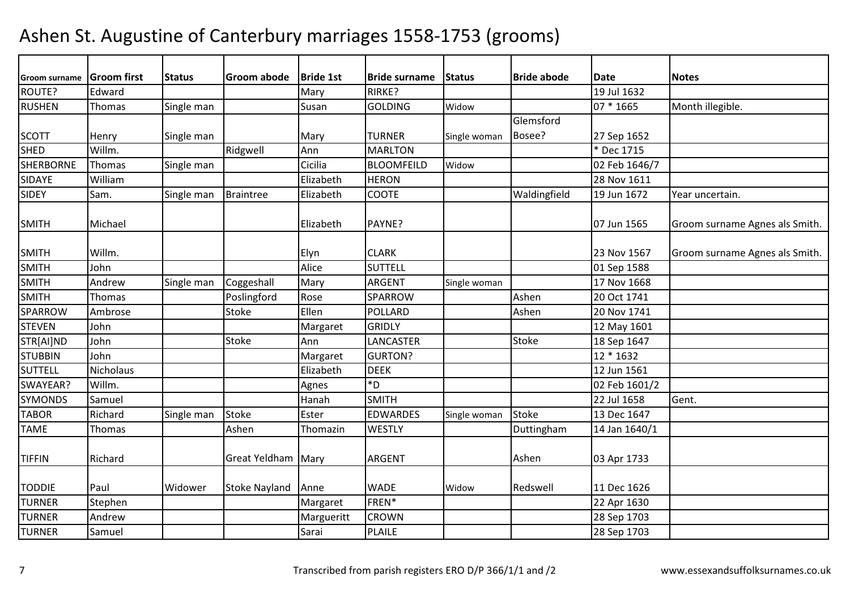| <b>Groom surname</b> | <b>Groom first</b> | <b>Status</b> | <b>Groom abode</b>   | <b>Bride 1st</b> | <b>Bride surname</b> | <b>Status</b> | <b>Bride abode</b> | <b>Date</b>   | <b>Notes</b>                   |
|----------------------|--------------------|---------------|----------------------|------------------|----------------------|---------------|--------------------|---------------|--------------------------------|
| ROUTE?               | Edward             |               |                      | Mary             | <b>RIRKE?</b>        |               |                    | 19 Jul 1632   |                                |
| <b>RUSHEN</b>        | Thomas             | Single man    |                      | Susan            | <b>GOLDING</b>       | Widow         |                    | 07 * 1665     | Month illegible.               |
|                      |                    |               |                      |                  |                      |               | Glemsford          |               |                                |
| <b>SCOTT</b>         | Henry              | Single man    |                      | Mary             | <b>TURNER</b>        | Single woman  | Bosee?             | 27 Sep 1652   |                                |
| <b>SHED</b>          | Willm.             |               | Ridgwell             | Ann              | <b>MARLTON</b>       |               |                    | * Dec 1715    |                                |
| <b>SHERBORNE</b>     | Thomas             | Single man    |                      | Cicilia          | <b>BLOOMFEILD</b>    | Widow         |                    | 02 Feb 1646/7 |                                |
| SIDAYE               | William            |               |                      | Elizabeth        | <b>HERON</b>         |               |                    | 28 Nov 1611   |                                |
| <b>SIDEY</b>         | Sam.               | Single man    | <b>Braintree</b>     | Elizabeth        | COOTE                |               | Waldingfield       | 19 Jun 1672   | Year uncertain.                |
| <b>SMITH</b>         | Michael            |               |                      | Elizabeth        | PAYNE?               |               |                    | 07 Jun 1565   | Groom surname Agnes als Smith. |
| <b>SMITH</b>         | Willm.             |               |                      | Elyn             | <b>CLARK</b>         |               |                    | 23 Nov 1567   | Groom surname Agnes als Smith. |
| <b>SMITH</b>         | John               |               |                      | Alice            | <b>SUTTELL</b>       |               |                    | 01 Sep 1588   |                                |
| <b>SMITH</b>         | Andrew             | Single man    | Coggeshall           | Mary             | <b>ARGENT</b>        | Single woman  |                    | 17 Nov 1668   |                                |
| <b>SMITH</b>         | Thomas             |               | Poslingford          | Rose             | <b>SPARROW</b>       |               | Ashen              | 20 Oct 1741   |                                |
| <b>SPARROW</b>       | Ambrose            |               | Stoke                | Ellen            | POLLARD              |               | Ashen              | 20 Nov 1741   |                                |
| <b>STEVEN</b>        | John               |               |                      | Margaret         | <b>GRIDLY</b>        |               |                    | 12 May 1601   |                                |
| STR[AI]ND            | John               |               | <b>Stoke</b>         | Ann              | LANCASTER            |               | <b>Stoke</b>       | 18 Sep 1647   |                                |
| <b>STUBBIN</b>       | John               |               |                      | Margaret         | <b>GURTON?</b>       |               |                    | 12 * 1632     |                                |
| <b>SUTTELL</b>       | Nicholaus          |               |                      | Elizabeth        | <b>DEEK</b>          |               |                    | 12 Jun 1561   |                                |
| SWAYEAR?             | Willm.             |               |                      | Agnes            | $*D$                 |               |                    | 02 Feb 1601/2 |                                |
| <b>SYMONDS</b>       | Samuel             |               |                      | Hanah            | <b>SMITH</b>         |               |                    | 22 Jul 1658   | Gent.                          |
| <b>TABOR</b>         | Richard            | Single man    | <b>Stoke</b>         | Ester            | <b>EDWARDES</b>      | Single woman  | <b>Stoke</b>       | 13 Dec 1647   |                                |
| <b>TAME</b>          | Thomas             |               | Ashen                | Thomazin         | <b>WESTLY</b>        |               | Duttingham         | 14 Jan 1640/1 |                                |
| <b>TIFFIN</b>        | Richard            |               | <b>Great Yeldham</b> | Mary             | <b>ARGENT</b>        |               | Ashen              | 03 Apr 1733   |                                |
| <b>TODDIE</b>        | Paul               | Widower       | <b>Stoke Nayland</b> | Anne             | <b>WADE</b>          | Widow         | Redswell           | 11 Dec 1626   |                                |
| <b>TURNER</b>        | Stephen            |               |                      | Margaret         | FREN*                |               |                    | 22 Apr 1630   |                                |
| <b>TURNER</b>        | Andrew             |               |                      | Margueritt       | <b>CROWN</b>         |               |                    | 28 Sep 1703   |                                |
| <b>TURNER</b>        | Samuel             |               |                      | Sarai            | <b>PLAILE</b>        |               |                    | 28 Sep 1703   |                                |